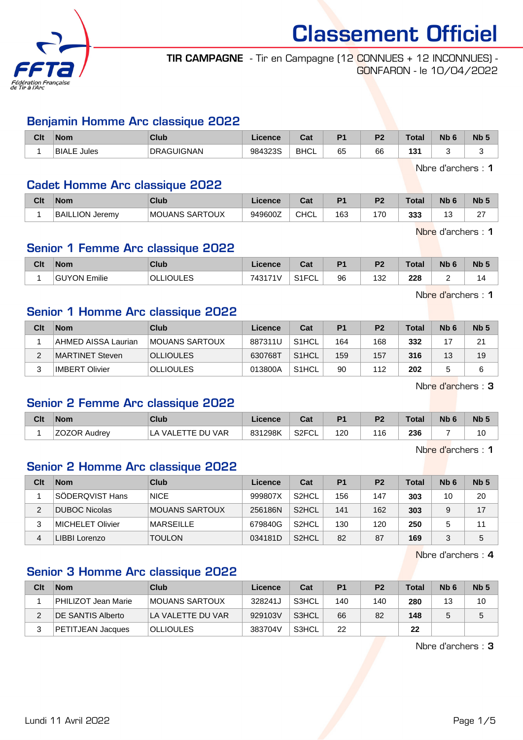

TIR CAMPAGNE - Tir en Campagne (12 CONNUES + 12 INCONNUES) - GONFARON - le 10/04/2022

#### Benjamin Homme Arc classique 2022

| Clt | <b>Nom</b>     | Club              | Licence | $7 - 1$<br>sar | D <sub>4</sub> | D <sub>0</sub> | Tota    | <b>Nb</b> | N <sub>b</sub> 5 |
|-----|----------------|-------------------|---------|----------------|----------------|----------------|---------|-----------|------------------|
|     | BIALE<br>Jules | <b>DRAGUIGNAN</b> | 984323S | <b>BHCL</b>    | 65             | 66             | 121<br> |           |                  |

Nbre d'archers : 1

#### Cadet Homme Arc classique 2022

| Clt | <b>Nom</b>            | <b>Club</b>           | <b>Licence</b> | ⊌a⊧         | P <sub>1</sub> | D <sub>2</sub> | Total | <b>Nb</b> | Nb !               |
|-----|-----------------------|-----------------------|----------------|-------------|----------------|----------------|-------|-----------|--------------------|
|     | ∟ION Jeremv<br>'BAILI | <b>MOUANS SARTOUX</b> | 949600Z        | <b>CHCL</b> | 163            | 170            | 333   | J         | $\sim$<br><u>.</u> |

Nbre d'archers : 1

Nbre d'archers : 1

## Senior 1 Femme Arc classique 2022

| Clt | <b>Nom</b>             | Club                            | <b>Licence</b> | $\sim$<br>ual         | D <sub>4</sub> | D <sub>2</sub><br>. . | <b>Total</b> | N <sub>h</sub> c<br>. IU - | Nb <sub>5</sub> |
|-----|------------------------|---------------------------------|----------------|-----------------------|----------------|-----------------------|--------------|----------------------------|-----------------|
|     | Emilie<br><b>GUYON</b> | 1 II E S<br>OLI<br>. IC<br>∼∽–– | 743171V        | C12C1<br>ົບ∟<br>ا ا ب | 96             | ר בי<br>ےں ا<br>$ -$  | 228          |                            | 4               |

Senior 1 Homme Arc classique 2022

| Clt | <b>Nom</b>          | Club             | Licence | Cat                | P <sub>1</sub> | P <sub>2</sub> | Total | N <sub>b</sub> 6 | Nb <sub>5</sub> |
|-----|---------------------|------------------|---------|--------------------|----------------|----------------|-------|------------------|-----------------|
|     | AHMED AISSA Laurian | MOUANS SARTOUX   | 887311U | S <sub>1</sub> HCL | 164            | 168            | 332   |                  | 21              |
|     | MARTINET Steven     | <b>OLLIOULES</b> | 630768T | S <sub>1</sub> HCL | 159            | 157            | 316   | 13               | 19              |
|     | IMBERT Olivier      | <b>OLLIOULES</b> | 013800A | S <sub>1</sub> HCL | 90             | 112            | 202   |                  | 6               |

Nbre d'archers : 3

#### Senior 2 Femme Arc classique 2022

| Clt | <b>Nom</b>          | Club                           | Licence | ີີ<br>ual          | P <sub>1</sub> | P <sub>2</sub> | <b>Total</b> | <b>Nb</b> | Nb <sub>5</sub> |
|-----|---------------------|--------------------------------|---------|--------------------|----------------|----------------|--------------|-----------|-----------------|
|     | <b>ZOZOR Audrey</b> | <b>VAR</b><br>VALETTE DU<br>LA | 831298K | S <sub>2</sub> FCL | 120            | 16             | 236          |           | 10              |

Nbre d'archers : 1

#### Senior 2 Homme Arc classique 2022

| Clt | <b>Nom</b>              | Club             | Licence | Cat                | P1  | P <sub>2</sub> | Total | N <sub>b</sub> 6 | Nb <sub>5</sub> |
|-----|-------------------------|------------------|---------|--------------------|-----|----------------|-------|------------------|-----------------|
|     | SÖDERQVIST Hans         | <b>NICE</b>      | 999807X | S <sub>2</sub> HCL | 156 | 147            | 303   | 10               | 20              |
| 2   | <b>DUBOC Nicolas</b>    | MOUANS SARTOUX   | 256186N | S <sub>2</sub> HCL | 141 | 162            | 303   | 9                | 17              |
| 3   | <b>MICHELET Olivier</b> | <b>MARSEILLE</b> | 679840G | S <sub>2</sub> HCL | 130 | 120            | 250   | 5                | 11              |
| 4   | LIBBI Lorenzo           | <b>TOULON</b>    | 034181D | S <sub>2</sub> HCL | 82  | 87             | 169   | 2                | 5               |

Nbre d'archers : 4

## Senior 3 Homme Arc classique 2022

| Clt | <b>Nom</b>               | Club                   | Licence | Cat   | P <sub>1</sub> | P <sub>2</sub> | <b>Total</b> | N <sub>b</sub> 6 | Nb <sub>5</sub> |
|-----|--------------------------|------------------------|---------|-------|----------------|----------------|--------------|------------------|-----------------|
|     | PHILIZOT Jean Marie      | <b>IMOUANS SARTOUX</b> | 328241J | S3HCL | 140            | 140            | 280          | 13               | 10              |
|     | <b>DE SANTIS Alberto</b> | LA VALETTE DU VAR      | 929103V | S3HCL | 66             | 82             | 148          |                  |                 |
|     | PETITJEAN Jacques        | <b>OLLIOULES</b>       | 383704V | S3HCL | 22             |                | 22           |                  |                 |

Nbre d'archers : 3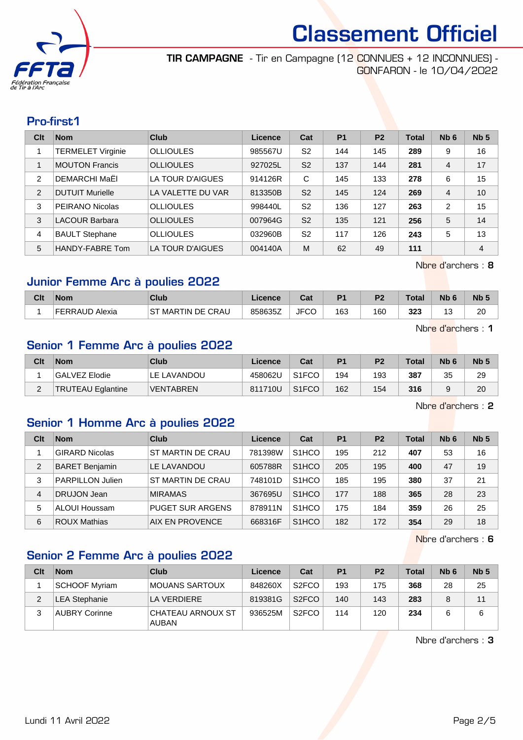

TIR CAMPAGNE - Tir en Campagne (12 CONNUES + 12 INCONNUES) - GONFARON - le 10/04/2022

#### Pro-first.1

| Clt           | <b>Nom</b>               | Club              | Licence | Cat            | <b>P1</b> | <b>P2</b> | <b>Total</b> | Nb <sub>6</sub> | Nb <sub>5</sub> |
|---------------|--------------------------|-------------------|---------|----------------|-----------|-----------|--------------|-----------------|-----------------|
|               | <b>TERMELET Virginie</b> | <b>OLLIOULES</b>  | 985567U | S <sub>2</sub> | 144       | 145       | 289          | 9               | 16              |
|               | <b>MOUTON Francis</b>    | <b>OLLIOULES</b>  | 927025L | S <sub>2</sub> | 137       | 144       | 281          | 4               | 17              |
| $\mathcal{P}$ | DEMARCHI MaËI            | LA TOUR D'AIGUES  | 914126R | C              | 145       | 133       | 278          | 6               | 15              |
| 2             | <b>DUTUIT Murielle</b>   | LA VALETTE DU VAR | 813350B | S <sub>2</sub> | 145       | 124       | 269          | $\overline{4}$  | 10              |
| 3             | PEIRANO Nicolas          | <b>OLLIOULES</b>  | 998440L | S <sub>2</sub> | 136       | 127       | 263          | 2               | 15              |
| 3             | <b>LACOUR Barbara</b>    | <b>OLLIOULES</b>  | 007964G | S <sub>2</sub> | 135       | 121       | 256          | 5               | 14              |
| 4             | <b>BAULT Stephane</b>    | <b>OLLIOULES</b>  | 032960B | S <sub>2</sub> | 117       | 126       | 243          | 5               | 13              |
| 5             | HANDY-FABRE Tom          | LA TOUR D'AIGUES  | 004140A | M              | 62        | 49        | 111          |                 | $\overline{4}$  |

Nbre d'archers : 8

## Junior Femme Arc à poulies 2022

| Clt | <b>Nom</b>       | Club                        | Licence | r.,<br>⊍aι  | D <sub>1</sub> | P <sub>2</sub> | Total | <b>Nb</b>  | Nb <sup>F</sup> |
|-----|------------------|-----------------------------|---------|-------------|----------------|----------------|-------|------------|-----------------|
|     | FFRRAI<br>Alexia | <b>MARTIN DE CRAU</b><br>ST | 858635Z | <b>JFCC</b> | 163            | 160            | 323   | . e<br>ں ا | 20<br>__        |

Nbre d'archers : 1

#### Senior 1 Femme Arc à poulies 2022

| Clt | <b>Nom</b>               | Club             | Licence | Cat                | P <sub>1</sub> | P <sub>2</sub> | <b>Total</b> | N <sub>b</sub> 6 | Nb <sub>5</sub> |
|-----|--------------------------|------------------|---------|--------------------|----------------|----------------|--------------|------------------|-----------------|
|     | GALVEZ Elodie            | LE LAVANDOU      | 458062U | S <sub>1</sub> FCO | 194            | 193            | 387          | 35               | 29              |
| _   | <b>TRUTEAU Eglantine</b> | <b>VENTABREN</b> | 811710U | S <sub>1</sub> FCO | 162            | 154            | 316          | a                | 20              |

Nbre d'archers : 2

## Senior 1 Homme Arc à poulies 2022

| Clt | <b>Nom</b>              | Club                    | Licence | Cat                | P <sub>1</sub> | P <sub>2</sub> | <b>Total</b> | Nb <sub>6</sub> | Nb <sub>5</sub> |
|-----|-------------------------|-------------------------|---------|--------------------|----------------|----------------|--------------|-----------------|-----------------|
|     | <b>GIRARD Nicolas</b>   | ST MARTIN DE CRAU       | 781398W | S <sub>1</sub> HCO | 195            | 212            | 407          | 53              | 16              |
| 2   | <b>BARET Benjamin</b>   | LE LAVANDOU             | 605788R | S <sub>1</sub> HCO | 205            | 195            | 400          | 47              | 19              |
| 3   | <b>PARPILLON Julien</b> | ST MARTIN DE CRAU       | 748101D | S <sub>1</sub> HCO | 185            | 195            | 380          | 37              | 21              |
| 4   | DRUJON Jean             | <b>MIRAMAS</b>          | 367695U | S <sub>1</sub> HCO | 177            | 188            | 365          | 28              | 23              |
| 5   | ALOUI Houssam           | <b>PUGET SUR ARGENS</b> | 878911N | S <sub>1</sub> HCO | 175            | 184            | 359          | 26              | 25              |
| 6   | <b>ROUX Mathias</b>     | AIX EN PROVENCE         | 668316F | S <sub>1</sub> HCO | 182            | 172            | 354          | 29              | 18              |

Nbre d'archers : 6

## Senior 2 Femme Arc à poulies 2022

| Clt | <b>Nom</b>           | Club                              | Licence | Cat                | P <sub>1</sub> | P <sub>2</sub> | <b>Total</b> | N <sub>b</sub> 6 | Nb <sub>5</sub> |
|-----|----------------------|-----------------------------------|---------|--------------------|----------------|----------------|--------------|------------------|-----------------|
|     | SCHOOF Myriam        | MOUANS SARTOUX                    | 848260X | S <sub>2</sub> FCO | 193            | 175            | 368          | 28               | 25              |
|     | <b>LEA Stephanie</b> | LA VERDIERE                       | 819381G | S <sub>2</sub> FCO | 140            | 143            | 283          | 8                | 11              |
|     | <b>AUBRY Corinne</b> | CHATEAU ARNOUX ST<br><b>AUBAN</b> | 936525M | S <sub>2</sub> FCO | 114            | 120            | 234          | 6                | 6               |

Nbre d'archers : 3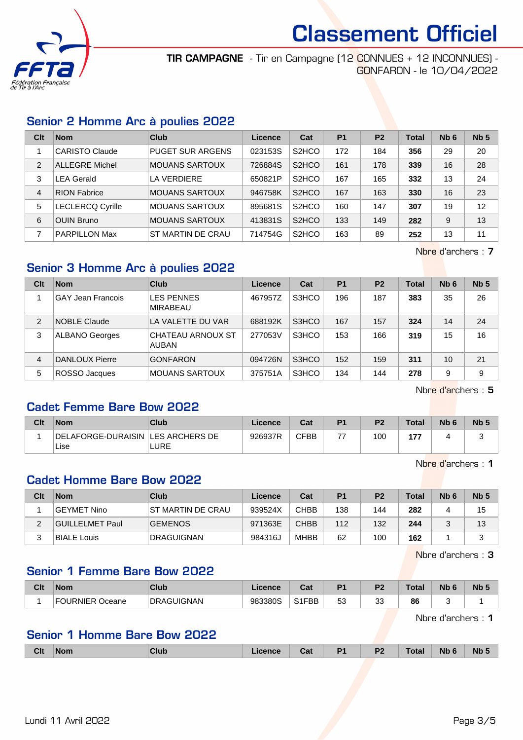

TIR CAMPAGNE - Tir en Campagne (12 CONNUES + 12 INCONNUES) - GONFARON - le 10/04/2022

#### Senior 2 Homme Arc à poulies 2022

| Clt            | <b>Nom</b>              | Club                    | Licence | Cat                | P <sub>1</sub> | P <sub>2</sub> | <b>Total</b> | Nb <sub>6</sub> | Nb <sub>5</sub> |
|----------------|-------------------------|-------------------------|---------|--------------------|----------------|----------------|--------------|-----------------|-----------------|
|                | <b>CARISTO Claude</b>   | <b>PUGET SUR ARGENS</b> | 023153S | S <sub>2</sub> HCO | 172            | 184            | 356          | 29              | 20              |
| $\overline{2}$ | <b>ALLEGRE Michel</b>   | <b>MOUANS SARTOUX</b>   | 726884S | S <sub>2</sub> HCO | 161            | 178            | 339          | 16              | 28              |
| 3              | <b>LEA Gerald</b>       | LA VERDIERE             | 650821P | S <sub>2</sub> HCO | 167            | 165            | 332          | 13              | 24              |
| $\overline{4}$ | <b>RION Fabrice</b>     | <b>MOUANS SARTOUX</b>   | 946758K | S <sub>2</sub> HCO | 167            | 163            | 330          | 16              | 23              |
| 5              | <b>LECLERCQ Cyrille</b> | <b>MOUANS SARTOUX</b>   | 895681S | S <sub>2</sub> HCO | 160            | 147            | 307          | 19              | 12              |
| 6              | <b>OUIN Bruno</b>       | <b>MOUANS SARTOUX</b>   | 413831S | S <sub>2</sub> HCO | 133            | 149            | 282          | 9               | 13              |
| 7              | <b>PARPILLON Max</b>    | ST MARTIN DE CRAU       | 714754G | S <sub>2</sub> HCO | 163            | 89             | 252          | 13              | 11              |

Nbre d'archers : 7

## Senior 3 Homme Arc à poulies 2022

| Clt | <b>Nom</b>               | Club                                 | Licence | Cat   | P <sub>1</sub> | P <sub>2</sub> | <b>Total</b> | N <sub>b</sub> 6 | Nb <sub>5</sub> |
|-----|--------------------------|--------------------------------------|---------|-------|----------------|----------------|--------------|------------------|-----------------|
|     | <b>GAY Jean Francois</b> | <b>LES PENNES</b><br><b>MIRABEAU</b> | 467957Z | S3HCO | 196            | 187            | 383          | 35               | 26              |
| 2   | <b>NOBLE Claude</b>      | LA VALETTE DU VAR                    | 688192K | S3HCO | 167            | 157            | 324          | 14               | 24              |
| 3   | <b>ALBANO Georges</b>    | CHATEAU ARNOUX ST<br><b>AUBAN</b>    | 277053V | S3HCO | 153            | 166            | 319          | 15               | 16              |
| 4   | DANLOUX Pierre           | <b>GONFARON</b>                      | 094726N | S3HCO | 152            | 159            | 311          | 10               | 21              |
| 5   | ROSSO Jacques            | <b>MOUANS SARTOUX</b>                | 375751A | S3HCO | 134            | 144            | 278          | 9                | 9               |

Nbre d'archers : 5

## Cadet Femme Bare Bow 2022

| Clt | <b>Nom</b>                                  | Club | Licence | Cat  | D <sub>1</sub> | P <sub>2</sub> | <b>Total</b> | N <sub>b</sub> 6 | Nb <sub>5</sub> |
|-----|---------------------------------------------|------|---------|------|----------------|----------------|--------------|------------------|-----------------|
|     | DELAFORGE-DURAISIN   LES ARCHERS DE<br>Lise | LURE | 926937R | CFBB | ララ             | 100            | 477<br>.     |                  |                 |
|     |                                             |      |         |      |                |                |              |                  |                 |

Nbre d'archers : 1

## Cadet Homme Bare Bow 2022

| Clt | <b>Nom</b>      | Club               | Licence | Cat         | P1  | P <sub>2</sub> | Total | N <sub>b</sub> 6 | Nb <sub>5</sub> |
|-----|-----------------|--------------------|---------|-------------|-----|----------------|-------|------------------|-----------------|
|     | GEYMET Nino     | IST MARTIN DE CRAU | 939524X | CHBB        | 138 | 144            | 282   |                  | 15              |
| ∠   | GUILLELMET Paul | <b>GEMENOS</b>     | 971363E | <b>CHBB</b> | 112 | 132            | 244   |                  | 13              |
|     | BIALE Louis     | <b>DRAGUIGNAN</b>  | 984316J | MHBB        | 62  | 100            | 162   |                  |                 |

Nbre d'archers : 3

#### Senior 1 Femme Bare Bow 2022

| Clt | <b>Nom</b>     | Club              | Licence | ◠؞+<br><b>val</b> | D4       | D0      | Total | <b>N<sub>b</sub></b> | N <sub>b</sub> <sub>5</sub> |
|-----|----------------|-------------------|---------|-------------------|----------|---------|-------|----------------------|-----------------------------|
|     | JURNIER Oceane | <b>DRAGUIGNAN</b> | 983380S | S1FBB             | 53<br>JJ | ົ<br>vü | 86    |                      |                             |

Nbre d'archers : 1

## Senior 1 Homme Bare Bow 2022

|  | <b>Clt</b> | <b>Nom</b> | Club | icence | Cat | D <sub>1</sub> | P <sub>2</sub><br>- - - | fota' | <b>NI</b> | Nb. |
|--|------------|------------|------|--------|-----|----------------|-------------------------|-------|-----------|-----|
|--|------------|------------|------|--------|-----|----------------|-------------------------|-------|-----------|-----|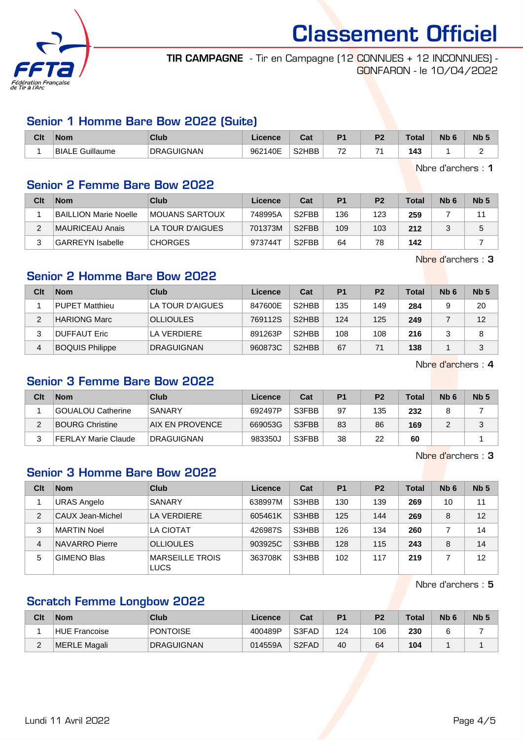

TIR CAMPAGNE - Tir en Campagne (12 CONNUES + 12 INCONNUES) - GONFARON - le 10/04/2022

#### Senior 1 Homme Bare Bow 2022 (Suite)

| Clt | <b>Nom</b>      | Club              | Licence | ◠∼<br>uai | D <sub>4</sub>                       | D <sub>2</sub> | Total | <b>N<sub>b</sub></b> | N <sub>b</sub> 5 |
|-----|-----------------|-------------------|---------|-----------|--------------------------------------|----------------|-------|----------------------|------------------|
|     | BIALE Guillaume | <b>DRAGUIGNAN</b> | 962140E | S2HBB     | $\overline{\phantom{a}}$<br><u>_</u> | ⇁.             | 143   |                      |                  |

Nbre d'archers : 1

#### Senior 2 Femme Bare Bow 2022

| Clt | <b>Nom</b>                   | Club                   | Licence | Cat                | P <sub>1</sub> | P <sub>2</sub> | <b>Total</b> | Nb <sub>6</sub> | Nb <sub>5</sub> |
|-----|------------------------------|------------------------|---------|--------------------|----------------|----------------|--------------|-----------------|-----------------|
|     | <b>BAILLION Marie Noelle</b> | <b>IMOUANS SARTOUX</b> | 748995A | S <sub>2</sub> FBB | 136            | 123            | 259          |                 | 11              |
|     | MAURICEAU Anais              | LA TOUR D'AIGUES       | 701373M | S <sub>2</sub> FBB | 109            | 103            | 212          |                 | 5               |
|     | <b>GARREYN</b> Isabelle      | <b>CHORGES</b>         | 973744T | S <sub>2</sub> FBB | 64             | 78             | 142          |                 |                 |

Nbre d'archers : 3

## Senior 2 Homme Bare Bow 2022

| Clt | <b>Nom</b>             | Club              | Licence | Cat                | P <sub>1</sub> | P <sub>2</sub> | Total | N <sub>b</sub> 6 | Nb <sub>5</sub> |
|-----|------------------------|-------------------|---------|--------------------|----------------|----------------|-------|------------------|-----------------|
|     | PUPET Matthieu         | LA TOUR D'AIGUES  | 847600E | S <sub>2</sub> HBB | 135            | 149            | 284   |                  | 20              |
| っ   | <b>HARIONG Marc</b>    | <b>OLLIOULES</b>  | 769112S | S <sub>2</sub> HBB | 124            | 125            | 249   |                  | 12              |
|     | <b>DUFFAUT Eric</b>    | LA VERDIERE       | 891263P | S <sub>2</sub> HBB | 108            | 108            | 216   |                  | 8               |
| 4   | <b>BOQUIS Philippe</b> | <b>DRAGUIGNAN</b> | 960873C | S <sub>2</sub> HBB | 67             | 71             | 138   |                  | 3               |

Nbre d'archers : 4

#### Senior 3 Femme Bare Bow 2022

| Clt | <b>Nom</b>             | Club              | Licence | Cat   | P <sub>1</sub> | P <sub>2</sub> | Total | Nb <sub>6</sub> | Nb <sub>5</sub> |
|-----|------------------------|-------------------|---------|-------|----------------|----------------|-------|-----------------|-----------------|
|     | GOUALOU Catherine      | SANARY            | 692497P | S3FBB | 97             | 135            | 232   |                 |                 |
|     | <b>BOURG Christine</b> | IAIX EN PROVENCE  | 669053G | S3FBB | 83             | 86             | 169   |                 |                 |
|     | FERLAY Marie Claude    | <b>DRAGUIGNAN</b> | 983350J | S3FBB | 38             | 22             | 60    |                 |                 |

Nbre d'archers : 3

## Senior 3 Homme Bare Bow 2022

| Clt            | <b>Nom</b>         | Club                                  | Licence | Cat   | <b>P1</b> | P <sub>2</sub> | <b>Total</b> | Nb <sub>6</sub> | Nb <sub>5</sub> |
|----------------|--------------------|---------------------------------------|---------|-------|-----------|----------------|--------------|-----------------|-----------------|
|                | <b>URAS Angelo</b> | SANARY                                | 638997M | S3HBB | 130       | 139            | 269          | 10              | 11              |
| $\overline{2}$ | CAUX Jean-Michel   | LA VERDIERE                           | 605461K | S3HBB | 125       | 144            | 269          | 8               | 12              |
| 3              | <b>MARTIN Noel</b> | <b>LA CIOTAT</b>                      | 426987S | S3HBB | 126       | 134            | 260          |                 | 14              |
| 4              | NAVARRO Pierre     | <b>OLLIOULES</b>                      | 903925C | S3HBB | 128       | 115            | 243          | 8               | 14              |
| 5              | <b>GIMENO Blas</b> | <b>MARSEILLE TROIS</b><br><b>LUCS</b> | 363708K | S3HBB | 102       | 117            | 219          |                 | 12              |

Nbre d'archers : 5

## Scratch Femme Longbow 2022

| Clt         | <b>Nom</b>    | Club              | Licence | Cat                            | P <sub>1</sub> | P <sub>2</sub> | Total | N <sub>b</sub> 6 | Nb <sub>5</sub> |
|-------------|---------------|-------------------|---------|--------------------------------|----------------|----------------|-------|------------------|-----------------|
|             | HUE Francoise | PONTOISE          | 400489P | S3FAD                          | 124            | 106            | 230   |                  |                 |
| $\sim$<br>_ | MERLE Magali  | <b>DRAGUIGNAN</b> | 014559A | S <sub>2</sub> F <sub>AD</sub> | 40             | 64             | 104   |                  |                 |